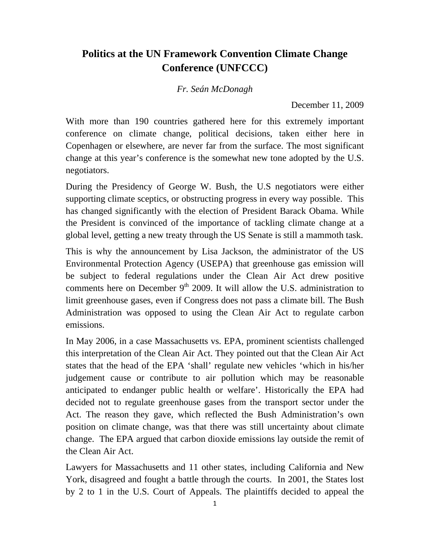## **Politics at the UN Framework Convention Climate Change Conference (UNFCCC)**

*Fr. Seán McDonagh* 

December 11, 2009

With more than 190 countries gathered here for this extremely important conference on climate change, political decisions, taken either here in Copenhagen or elsewhere, are never far from the surface. The most significant change at this year's conference is the somewhat new tone adopted by the U.S. negotiators.

During the Presidency of George W. Bush, the U.S negotiators were either supporting climate sceptics, or obstructing progress in every way possible. This has changed significantly with the election of President Barack Obama. While the President is convinced of the importance of tackling climate change at a global level, getting a new treaty through the US Senate is still a mammoth task.

This is why the announcement by Lisa Jackson, the administrator of the US Environmental Protection Agency (USEPA) that greenhouse gas emission will be subject to federal regulations under the Clean Air Act drew positive comments here on December  $9<sup>th</sup>$  2009. It will allow the U.S. administration to limit greenhouse gases, even if Congress does not pass a climate bill. The Bush Administration was opposed to using the Clean Air Act to regulate carbon emissions.

In May 2006, in a case Massachusetts vs. EPA, prominent scientists challenged this interpretation of the Clean Air Act. They pointed out that the Clean Air Act states that the head of the EPA 'shall' regulate new vehicles 'which in his/her judgement cause or contribute to air pollution which may be reasonable anticipated to endanger public health or welfare'. Historically the EPA had decided not to regulate greenhouse gases from the transport sector under the Act. The reason they gave, which reflected the Bush Administration's own position on climate change, was that there was still uncertainty about climate change. The EPA argued that carbon dioxide emissions lay outside the remit of the Clean Air Act.

Lawyers for Massachusetts and 11 other states, including California and New York, disagreed and fought a battle through the courts. In 2001, the States lost by 2 to 1 in the U.S. Court of Appeals. The plaintiffs decided to appeal the